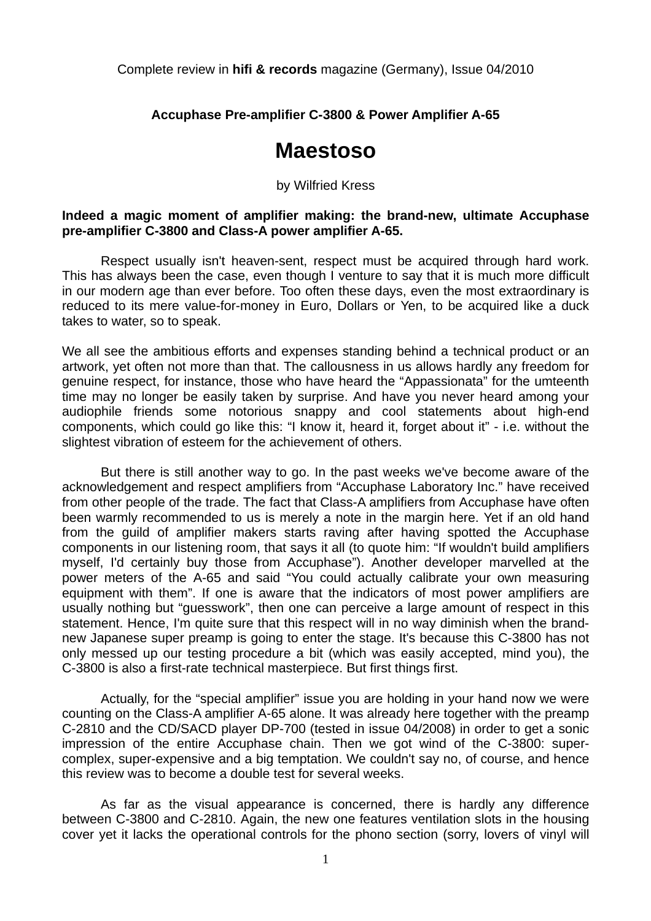Complete review in **hifi & records** magazine (Germany), Issue 04/2010

**Accuphase Pre-amplifier C-3800 & Power Amplifier A-65** 

# **Maestoso**

# by Wilfried Kress

# **Indeed a magic moment of amplifier making: the brand-new, ultimate Accuphase pre-amplifier C-3800 and Class-A power amplifier A-65.**

 Respect usually isn't heaven-sent, respect must be acquired through hard work. This has always been the case, even though I venture to say that it is much more difficult in our modern age than ever before. Too often these days, even the most extraordinary is reduced to its mere value-for-money in Euro, Dollars or Yen, to be acquired like a duck takes to water, so to speak.

We all see the ambitious efforts and expenses standing behind a technical product or an artwork, yet often not more than that. The callousness in us allows hardly any freedom for genuine respect, for instance, those who have heard the "Appassionata" for the umteenth time may no longer be easily taken by surprise. And have you never heard among your audiophile friends some notorious snappy and cool statements about high-end components, which could go like this: "I know it, heard it, forget about it" - i.e. without the slightest vibration of esteem for the achievement of others.

 But there is still another way to go. In the past weeks we've become aware of the acknowledgement and respect amplifiers from "Accuphase Laboratory Inc." have received from other people of the trade. The fact that Class-A amplifiers from Accuphase have often been warmly recommended to us is merely a note in the margin here. Yet if an old hand from the guild of amplifier makers starts raving after having spotted the Accuphase components in our listening room, that says it all (to quote him: "If wouldn't build amplifiers myself, I'd certainly buy those from Accuphase"). Another developer marvelled at the power meters of the A-65 and said "You could actually calibrate your own measuring equipment with them". If one is aware that the indicators of most power amplifiers are usually nothing but "guesswork", then one can perceive a large amount of respect in this statement. Hence, I'm quite sure that this respect will in no way diminish when the brandnew Japanese super preamp is going to enter the stage. It's because this C-3800 has not only messed up our testing procedure a bit (which was easily accepted, mind you), the C-3800 is also a first-rate technical masterpiece. But first things first.

 Actually, for the "special amplifier" issue you are holding in your hand now we were counting on the Class-A amplifier A-65 alone. It was already here together with the preamp C-2810 and the CD/SACD player DP-700 (tested in issue 04/2008) in order to get a sonic impression of the entire Accuphase chain. Then we got wind of the C-3800: supercomplex, super-expensive and a big temptation. We couldn't say no, of course, and hence this review was to become a double test for several weeks.

 As far as the visual appearance is concerned, there is hardly any difference between C-3800 and C-2810. Again, the new one features ventilation slots in the housing cover yet it lacks the operational controls for the phono section (sorry, lovers of vinyl will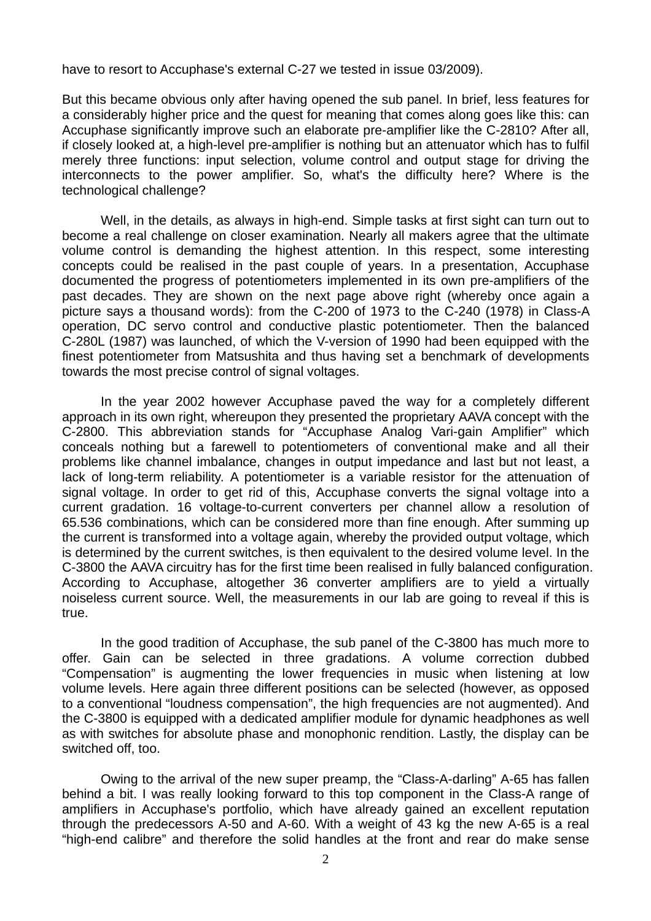have to resort to Accuphase's external C-27 we tested in issue 03/2009).

But this became obvious only after having opened the sub panel. In brief, less features for a considerably higher price and the quest for meaning that comes along goes like this: can Accuphase significantly improve such an elaborate pre-amplifier like the C-2810? After all, if closely looked at, a high-level pre-amplifier is nothing but an attenuator which has to fulfil merely three functions: input selection, volume control and output stage for driving the interconnects to the power amplifier. So, what's the difficulty here? Where is the technological challenge?

 Well, in the details, as always in high-end. Simple tasks at first sight can turn out to become a real challenge on closer examination. Nearly all makers agree that the ultimate volume control is demanding the highest attention. In this respect, some interesting concepts could be realised in the past couple of years. In a presentation, Accuphase documented the progress of potentiometers implemented in its own pre-amplifiers of the past decades. They are shown on the next page above right (whereby once again a picture says a thousand words): from the C-200 of 1973 to the C-240 (1978) in Class-A operation, DC servo control and conductive plastic potentiometer. Then the balanced C-280L (1987) was launched, of which the V-version of 1990 had been equipped with the finest potentiometer from Matsushita and thus having set a benchmark of developments towards the most precise control of signal voltages.

 In the year 2002 however Accuphase paved the way for a completely different approach in its own right, whereupon they presented the proprietary AAVA concept with the C-2800. This abbreviation stands for "Accuphase Analog Vari-gain Amplifier" which conceals nothing but a farewell to potentiometers of conventional make and all their problems like channel imbalance, changes in output impedance and last but not least, a lack of long-term reliability. A potentiometer is a variable resistor for the attenuation of signal voltage. In order to get rid of this, Accuphase converts the signal voltage into a current gradation. 16 voltage-to-current converters per channel allow a resolution of 65.536 combinations, which can be considered more than fine enough. After summing up the current is transformed into a voltage again, whereby the provided output voltage, which is determined by the current switches, is then equivalent to the desired volume level. In the C-3800 the AAVA circuitry has for the first time been realised in fully balanced configuration. According to Accuphase, altogether 36 converter amplifiers are to yield a virtually noiseless current source. Well, the measurements in our lab are going to reveal if this is true.

 In the good tradition of Accuphase, the sub panel of the C-3800 has much more to offer. Gain can be selected in three gradations. A volume correction dubbed "Compensation" is augmenting the lower frequencies in music when listening at low volume levels. Here again three different positions can be selected (however, as opposed to a conventional "loudness compensation", the high frequencies are not augmented). And the C-3800 is equipped with a dedicated amplifier module for dynamic headphones as well as with switches for absolute phase and monophonic rendition. Lastly, the display can be switched off, too.

 Owing to the arrival of the new super preamp, the "Class-A-darling" A-65 has fallen behind a bit. I was really looking forward to this top component in the Class-A range of amplifiers in Accuphase's portfolio, which have already gained an excellent reputation through the predecessors A-50 and A-60. With a weight of 43 kg the new A-65 is a real "high-end calibre" and therefore the solid handles at the front and rear do make sense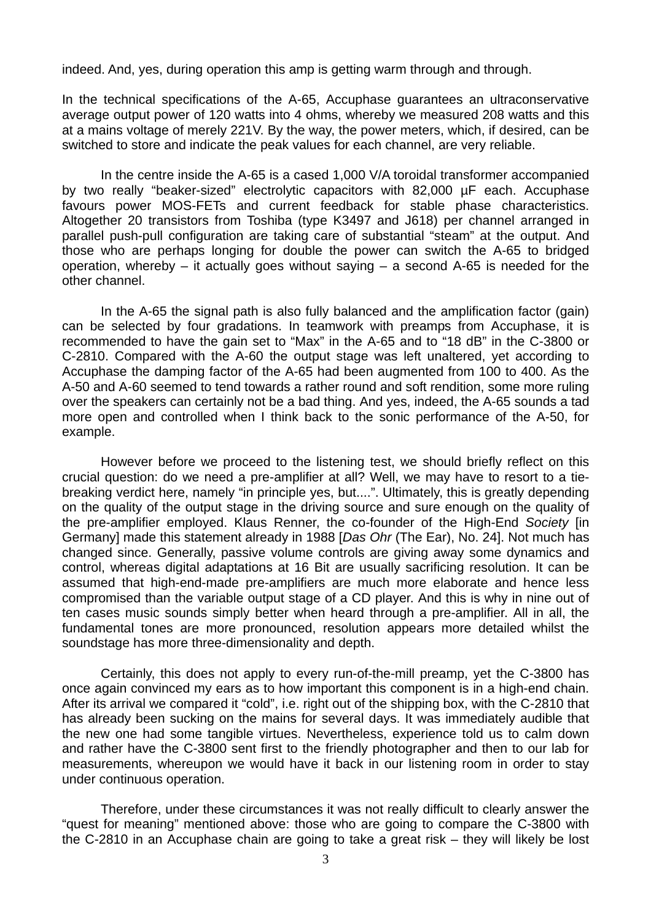indeed. And, yes, during operation this amp is getting warm through and through.

In the technical specifications of the A-65, Accuphase guarantees an ultraconservative average output power of 120 watts into 4 ohms, whereby we measured 208 watts and this at a mains voltage of merely 221V. By the way, the power meters, which, if desired, can be switched to store and indicate the peak values for each channel, are very reliable.

 In the centre inside the A-65 is a cased 1,000 V/A toroidal transformer accompanied by two really "beaker-sized" electrolytic capacitors with 82,000 µF each. Accuphase favours power MOS-FETs and current feedback for stable phase characteristics. Altogether 20 transistors from Toshiba (type K3497 and J618) per channel arranged in parallel push-pull configuration are taking care of substantial "steam" at the output. And those who are perhaps longing for double the power can switch the A-65 to bridged operation, whereby – it actually goes without saying – a second A-65 is needed for the other channel.

 In the A-65 the signal path is also fully balanced and the amplification factor (gain) can be selected by four gradations. In teamwork with preamps from Accuphase, it is recommended to have the gain set to "Max" in the A-65 and to "18 dB" in the C-3800 or C-2810. Compared with the A-60 the output stage was left unaltered, yet according to Accuphase the damping factor of the A-65 had been augmented from 100 to 400. As the A-50 and A-60 seemed to tend towards a rather round and soft rendition, some more ruling over the speakers can certainly not be a bad thing. And yes, indeed, the A-65 sounds a tad more open and controlled when I think back to the sonic performance of the A-50, for example.

 However before we proceed to the listening test, we should briefly reflect on this crucial question: do we need a pre-amplifier at all? Well, we may have to resort to a tiebreaking verdict here, namely "in principle yes, but....". Ultimately, this is greatly depending on the quality of the output stage in the driving source and sure enough on the quality of the pre-amplifier employed. Klaus Renner, the co-founder of the High-End *Society* [in Germany] made this statement already in 1988 [*Das Ohr* (The Ear), No. 24]. Not much has changed since. Generally, passive volume controls are giving away some dynamics and control, whereas digital adaptations at 16 Bit are usually sacrificing resolution. It can be assumed that high-end-made pre-amplifiers are much more elaborate and hence less compromised than the variable output stage of a CD player. And this is why in nine out of ten cases music sounds simply better when heard through a pre-amplifier. All in all, the fundamental tones are more pronounced, resolution appears more detailed whilst the soundstage has more three-dimensionality and depth.

 Certainly, this does not apply to every run-of-the-mill preamp, yet the C-3800 has once again convinced my ears as to how important this component is in a high-end chain. After its arrival we compared it "cold", i.e. right out of the shipping box, with the C-2810 that has already been sucking on the mains for several days. It was immediately audible that the new one had some tangible virtues. Nevertheless, experience told us to calm down and rather have the C-3800 sent first to the friendly photographer and then to our lab for measurements, whereupon we would have it back in our listening room in order to stay under continuous operation.

 Therefore, under these circumstances it was not really difficult to clearly answer the "quest for meaning" mentioned above: those who are going to compare the C-3800 with the C-2810 in an Accuphase chain are going to take a great risk – they will likely be lost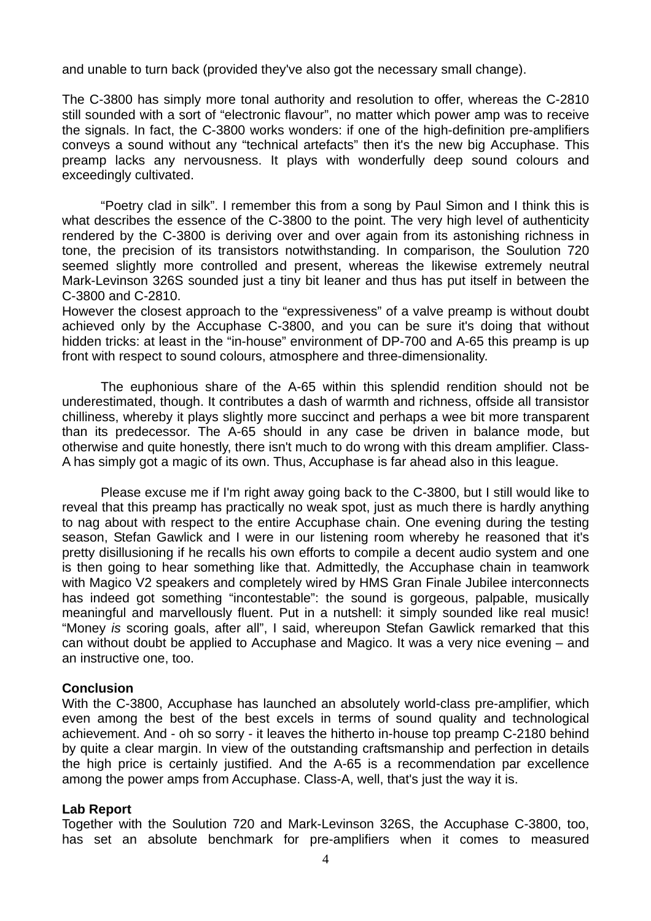and unable to turn back (provided they've also got the necessary small change).

The C-3800 has simply more tonal authority and resolution to offer, whereas the C-2810 still sounded with a sort of "electronic flavour", no matter which power amp was to receive the signals. In fact, the C-3800 works wonders: if one of the high-definition pre-amplifiers conveys a sound without any "technical artefacts" then it's the new big Accuphase. This preamp lacks any nervousness. It plays with wonderfully deep sound colours and exceedingly cultivated.

 "Poetry clad in silk". I remember this from a song by Paul Simon and I think this is what describes the essence of the C-3800 to the point. The very high level of authenticity rendered by the C-3800 is deriving over and over again from its astonishing richness in tone, the precision of its transistors notwithstanding. In comparison, the Soulution 720 seemed slightly more controlled and present, whereas the likewise extremely neutral Mark-Levinson 326S sounded just a tiny bit leaner and thus has put itself in between the C-3800 and C-2810.

However the closest approach to the "expressiveness" of a valve preamp is without doubt achieved only by the Accuphase C-3800, and you can be sure it's doing that without hidden tricks: at least in the "in-house" environment of DP-700 and A-65 this preamp is up front with respect to sound colours, atmosphere and three-dimensionality.

 The euphonious share of the A-65 within this splendid rendition should not be underestimated, though. It contributes a dash of warmth and richness, offside all transistor chilliness, whereby it plays slightly more succinct and perhaps a wee bit more transparent than its predecessor. The A-65 should in any case be driven in balance mode, but otherwise and quite honestly, there isn't much to do wrong with this dream amplifier. Class-A has simply got a magic of its own. Thus, Accuphase is far ahead also in this league.

 Please excuse me if I'm right away going back to the C-3800, but I still would like to reveal that this preamp has practically no weak spot, just as much there is hardly anything to nag about with respect to the entire Accuphase chain. One evening during the testing season, Stefan Gawlick and I were in our listening room whereby he reasoned that it's pretty disillusioning if he recalls his own efforts to compile a decent audio system and one is then going to hear something like that. Admittedly, the Accuphase chain in teamwork with Magico V2 speakers and completely wired by HMS Gran Finale Jubilee interconnects has indeed got something "incontestable": the sound is gorgeous, palpable, musically meaningful and marvellously fluent. Put in a nutshell: it simply sounded like real music! "Money *is* scoring goals, after all", I said, whereupon Stefan Gawlick remarked that this can without doubt be applied to Accuphase and Magico. It was a very nice evening – and an instructive one, too.

# **Conclusion**

With the C-3800, Accuphase has launched an absolutely world-class pre-amplifier, which even among the best of the best excels in terms of sound quality and technological achievement. And - oh so sorry - it leaves the hitherto in-house top preamp C-2180 behind by quite a clear margin. In view of the outstanding craftsmanship and perfection in details the high price is certainly justified. And the A-65 is a recommendation par excellence among the power amps from Accuphase. Class-A, well, that's just the way it is.

# **Lab Report**

Together with the Soulution 720 and Mark-Levinson 326S, the Accuphase C-3800, too, has set an absolute benchmark for pre-amplifiers when it comes to measured